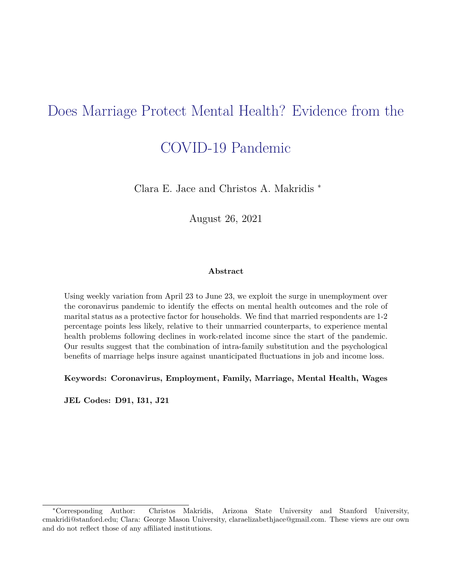# Does Marriage Protect Mental Health? Evidence from the

## COVID-19 Pandemic

Clara E. Jace and Christos A. Makridis <sup>∗</sup>

August 26, 2021

#### **Abstract**

Using weekly variation from April 23 to June 23, we exploit the surge in unemployment over the coronavirus pandemic to identify the effects on mental health outcomes and the role of marital status as a protective factor for households. We find that married respondents are 1-2 percentage points less likely, relative to their unmarried counterparts, to experience mental health problems following declines in work-related income since the start of the pandemic. Our results suggest that the combination of intra-family substitution and the psychological benefits of marriage helps insure against unanticipated fluctuations in job and income loss.

**Keywords: Coronavirus, Employment, Family, Marriage, Mental Health, Wages**

**JEL Codes: D91, I31, J21**

<sup>∗</sup>Corresponding Author: Christos Makridis, Arizona State University and Stanford University, cmakridi@stanford.edu; Clara: George Mason University, claraelizabethjace@gmail.com. These views are our own and do not reflect those of any affiliated institutions.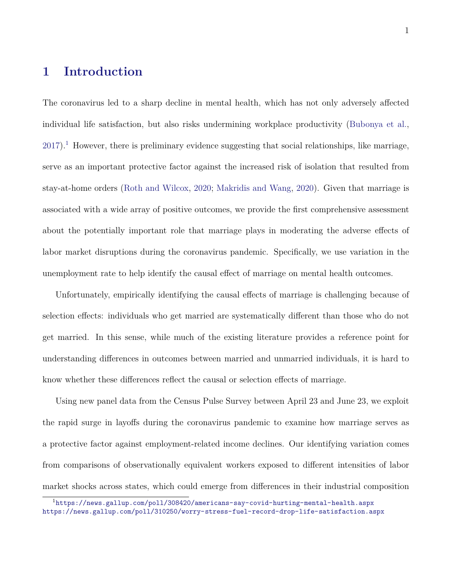### **1 Introduction**

The coronavirus led to a sharp decline in mental health, which has not only adversely affected individual life satisfaction, but also risks undermining workplace productivity [\(Bubonya et al.,](#page-30-0)  $2017$  $2017$  $2017$ ).<sup>1</sup> However, there is preliminary evidence suggesting that social relationships, like marriage, serve as an important protective factor against the increased risk of isolation that resulted from stay-at-home orders [\(Roth and Wilcox,](#page-34-0) [2020;](#page-34-0) [Makridis and Wang,](#page-33-0) [2020\)](#page-33-0). Given that marriage is associated with a wide array of positive outcomes, we provide the first comprehensive assessment about the potentially important role that marriage plays in moderating the adverse effects of labor market disruptions during the coronavirus pandemic. Specifically, we use variation in the unemployment rate to help identify the causal effect of marriage on mental health outcomes.

Unfortunately, empirically identifying the causal effects of marriage is challenging because of selection effects: individuals who get married are systematically different than those who do not get married. In this sense, while much of the existing literature provides a reference point for understanding differences in outcomes between married and unmarried individuals, it is hard to know whether these differences reflect the causal or selection effects of marriage.

Using new panel data from the Census Pulse Survey between April 23 and June 23, we exploit the rapid surge in layoffs during the coronavirus pandemic to examine how marriage serves as a protective factor against employment-related income declines. Our identifying variation comes from comparisons of observationally equivalent workers exposed to different intensities of labor market shocks across states, which could emerge from differences in their industrial composition

<span id="page-1-0"></span><sup>1</sup><https://news.gallup.com/poll/308420/americans-say-covid-hurting-mental-health.aspx> <https://news.gallup.com/poll/310250/worry-stress-fuel-record-drop-life-satisfaction.aspx>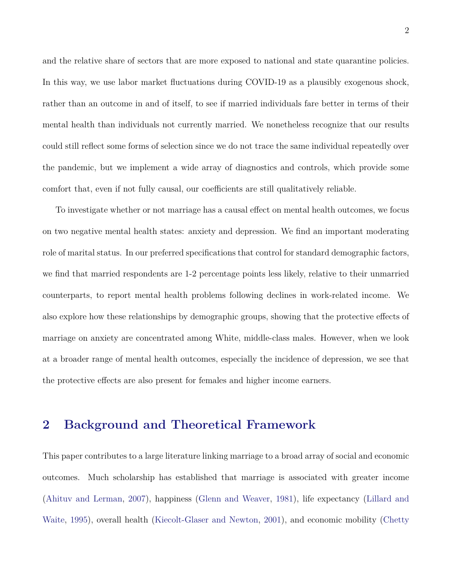and the relative share of sectors that are more exposed to national and state quarantine policies. In this way, we use labor market fluctuations during COVID-19 as a plausibly exogenous shock, rather than an outcome in and of itself, to see if married individuals fare better in terms of their mental health than individuals not currently married. We nonetheless recognize that our results could still reflect some forms of selection since we do not trace the same individual repeatedly over the pandemic, but we implement a wide array of diagnostics and controls, which provide some comfort that, even if not fully causal, our coefficients are still qualitatively reliable.

To investigate whether or not marriage has a causal effect on mental health outcomes, we focus on two negative mental health states: anxiety and depression. We find an important moderating role of marital status. In our preferred specifications that control for standard demographic factors, we find that married respondents are 1-2 percentage points less likely, relative to their unmarried counterparts, to report mental health problems following declines in work-related income. We also explore how these relationships by demographic groups, showing that the protective effects of marriage on anxiety are concentrated among White, middle-class males. However, when we look at a broader range of mental health outcomes, especially the incidence of depression, we see that the protective effects are also present for females and higher income earners.

### **2 Background and Theoretical Framework**

This paper contributes to a large literature linking marriage to a broad array of social and economic outcomes. Much scholarship has established that marriage is associated with greater income [\(Ahituv and Lerman,](#page-30-1) [2007\)](#page-30-1), happiness [\(Glenn and Weaver,](#page-32-0) [1981\)](#page-32-0), life expectancy [\(Lillard and](#page-33-1) [Waite,](#page-33-1) [1995\)](#page-33-1), overall health [\(Kiecolt-Glaser and Newton,](#page-33-2) [2001\)](#page-33-2), and economic mobility [\(Chetty](#page-31-0)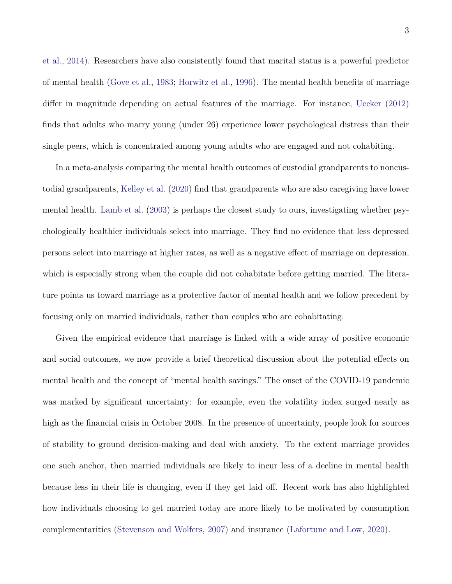[et al.,](#page-31-0) [2014\)](#page-31-0). Researchers have also consistently found that marital status is a powerful predictor of mental health [\(Gove et al.,](#page-32-1) [1983;](#page-32-1) [Horwitz et al.,](#page-32-2) [1996\)](#page-32-2). The mental health benefits of marriage differ in magnitude depending on actual features of the marriage. For instance, [Uecker](#page-35-0) [\(2012\)](#page-35-0) finds that adults who marry young (under 26) experience lower psychological distress than their single peers, which is concentrated among young adults who are engaged and not cohabiting.

In a meta-analysis comparing the mental health outcomes of custodial grandparents to noncustodial grandparents, [Kelley et al.](#page-32-3) [\(2020\)](#page-32-3) find that grandparents who are also caregiving have lower mental health. [Lamb et al.](#page-33-3) [\(2003\)](#page-33-3) is perhaps the closest study to ours, investigating whether psychologically healthier individuals select into marriage. They find no evidence that less depressed persons select into marriage at higher rates, as well as a negative effect of marriage on depression, which is especially strong when the couple did not cohabitate before getting married. The literature points us toward marriage as a protective factor of mental health and we follow precedent by focusing only on married individuals, rather than couples who are cohabitating.

Given the empirical evidence that marriage is linked with a wide array of positive economic and social outcomes, we now provide a brief theoretical discussion about the potential effects on mental health and the concept of "mental health savings." The onset of the COVID-19 pandemic was marked by significant uncertainty: for example, even the volatility index surged nearly as high as the financial crisis in October 2008. In the presence of uncertainty, people look for sources of stability to ground decision-making and deal with anxiety. To the extent marriage provides one such anchor, then married individuals are likely to incur less of a decline in mental health because less in their life is changing, even if they get laid off. Recent work has also highlighted how individuals choosing to get married today are more likely to be motivated by consumption complementarities [\(Stevenson and Wolfers,](#page-34-1) [2007\)](#page-34-1) and insurance [\(Lafortune and Low,](#page-33-4) [2020\)](#page-33-4).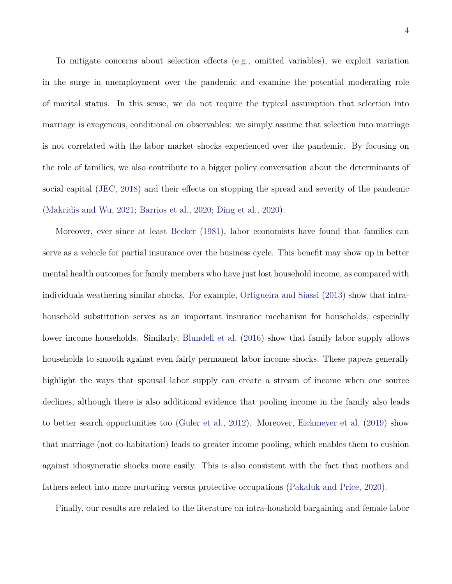To mitigate concerns about selection effects (e.g., omitted variables), we exploit variation in the surge in unemployment over the pandemic and examine the potential moderating role of marital status. In this sense, we do not require the typical assumption that selection into marriage is exogenous, conditional on observables: we simply assume that selection into marriage is not correlated with the labor market shocks experienced over the pandemic. By focusing on the role of families, we also contribute to a bigger policy conversation about the determinants of social capital [\(JEC,](#page-32-4) [2018\)](#page-32-4) and their effects on stopping the spread and severity of the pandemic [\(Makridis and Wu,](#page-33-5) [2021;](#page-33-5) [Barrios et al.,](#page-30-2) [2020;](#page-30-2) [Ding et al.,](#page-31-1) [2020\)](#page-31-1).

Moreover, ever since at least [Becker](#page-30-3) [\(1981\)](#page-30-3), labor economists have found that families can serve as a vehicle for partial insurance over the business cycle. This benefit may show up in better mental health outcomes for family members who have just lost household income, as compared with individuals weathering similar shocks. For example, [Ortigueira and Siassi](#page-34-2) [\(2013\)](#page-34-2) show that intrahousehold substitution serves as an important insurance mechanism for households, especially lower income households. Similarly, [Blundell et al.](#page-30-4) [\(2016\)](#page-30-4) show that family labor supply allows households to smooth against even fairly permanent labor income shocks. These papers generally highlight the ways that spousal labor supply can create a stream of income when one source declines, although there is also additional evidence that pooling income in the family also leads to better search opportunities too [\(Guler et al.,](#page-32-5) [2012\)](#page-32-5). Moreover, [Eickmeyer et al.](#page-32-6) [\(2019\)](#page-32-6) show that marriage (not co-habitation) leads to greater income pooling, which enables them to cushion against idiosyncratic shocks more easily. This is also consistent with the fact that mothers and fathers select into more nurturing versus protective occupations [\(Pakaluk and Price,](#page-34-3) [2020\)](#page-34-3).

Finally, our results are related to the literature on intra-houshold bargaining and female labor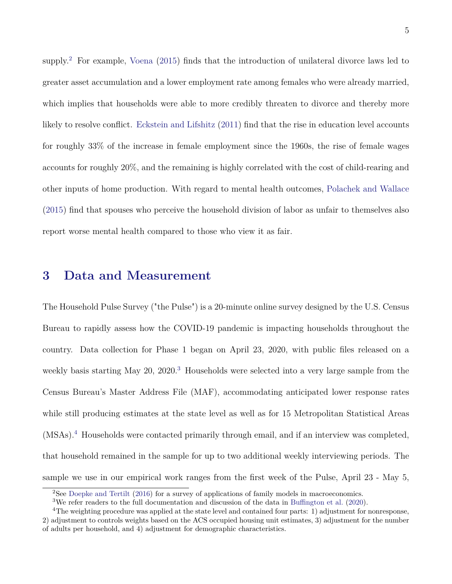supply.<sup>[2](#page-5-0)</sup> For example, [Voena](#page-35-1) [\(2015\)](#page-35-1) finds that the introduction of unilateral divorce laws led to greater asset accumulation and a lower employment rate among females who were already married, which implies that households were able to more credibly threaten to divorce and thereby more likely to resolve conflict. [Eckstein and Lifshitz](#page-31-2) [\(2011\)](#page-31-2) find that the rise in education level accounts for roughly 33% of the increase in female employment since the 1960s, the rise of female wages accounts for roughly 20%, and the remaining is highly correlated with the cost of child-rearing and other inputs of home production. With regard to mental health outcomes, [Polachek and Wallace](#page-34-4) [\(2015\)](#page-34-4) find that spouses who perceive the household division of labor as unfair to themselves also report worse mental health compared to those who view it as fair.

#### **3 Data and Measurement**

The Household Pulse Survey ("the Pulse") is a 20-minute online survey designed by the U.S. Census Bureau to rapidly assess how the COVID-19 pandemic is impacting households throughout the country. Data collection for Phase 1 began on April 23, 2020, with public files released on a weekly basis starting May 20, 2020.<sup>[3](#page-5-1)</sup> Households were selected into a very large sample from the Census Bureau's Master Address File (MAF), accommodating anticipated lower response rates while still producing estimates at the state level as well as for 15 Metropolitan Statistical Areas (MSAs).[4](#page-5-2) Households were contacted primarily through email, and if an interview was completed, that household remained in the sample for up to two additional weekly interviewing periods. The sample we use in our empirical work ranges from the first week of the Pulse, April 23 - May 5,

<span id="page-5-0"></span><sup>&</sup>lt;sup>2</sup>See [Doepke and Tertilt](#page-31-3) [\(2016\)](#page-31-3) for a survey of applications of family models in macroeconomics.

<span id="page-5-2"></span><span id="page-5-1"></span><sup>&</sup>lt;sup>3</sup>We refer readers to the full documentation and discussion of the data in [Buffington et al.](#page-30-5) [\(2020\)](#page-30-5).

<sup>4</sup>The weighting procedure was applied at the state level and contained four parts: 1) adjustment for nonresponse, 2) adjustment to controls weights based on the ACS occupied housing unit estimates, 3) adjustment for the number of adults per household, and 4) adjustment for demographic characteristics.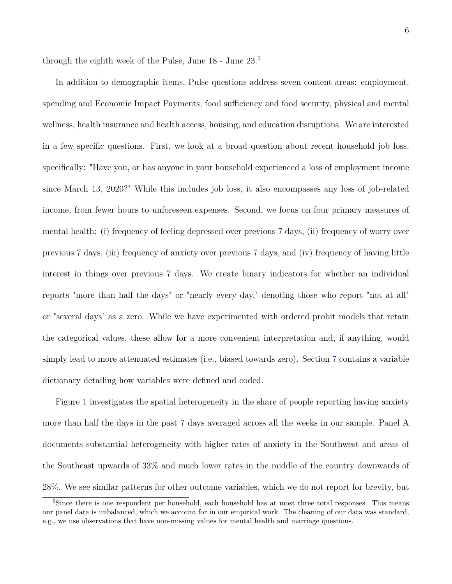through the eighth week of the Pulse, June 18 - June 23.[5](#page-6-0)

In addition to demographic items, Pulse questions address seven content areas: employment, spending and Economic Impact Payments, food sufficiency and food security, physical and mental wellness, health insurance and health access, housing, and education disruptions. We are interested in a few specific questions. First, we look at a broad question about recent household job loss, specifically: "Have you, or has anyone in your household experienced a loss of employment income since March 13, 2020?" While this includes job loss, it also encompasses any loss of job-related income, from fewer hours to unforeseen expenses. Second, we focus on four primary measures of mental health: (i) frequency of feeling depressed over previous 7 days, (ii) frequency of worry over previous 7 days, (iii) frequency of anxiety over previous 7 days, and (iv) frequency of having little interest in things over previous 7 days. We create binary indicators for whether an individual reports "more than half the days" or "nearly every day," denoting those who report "not at all" or "several days" as a zero. While we have experimented with ordered probit models that retain the categorical values, these allow for a more convenient interpretation and, if anything, would simply lead to more attenuated estimates (i.e., biased towards zero). Section [7](#page-16-0) contains a variable dictionary detailing how variables were defined and coded.

Figure [1](#page-22-0) investigates the spatial heterogeneity in the share of people reporting having anxiety more than half the days in the past 7 days averaged across all the weeks in our sample. Panel A documents substantial heterogeneity with higher rates of anxiety in the Southwest and areas of the Southeast upwards of 33% and much lower rates in the middle of the country downwards of 28%. We see similar patterns for other outcome variables, which we do not report for brevity, but

<span id="page-6-0"></span><sup>&</sup>lt;sup>5</sup>Since there is one respondent per household, each household has at most three total responses. This means our panel data is unbalanced, which we account for in our empirical work. The cleaning of our data was standard, e.g., we use observations that have non-missing values for mental health and marriage questions.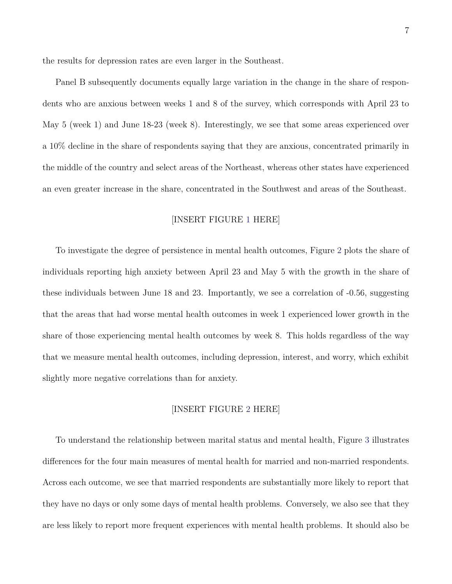the results for depression rates are even larger in the Southeast.

Panel B subsequently documents equally large variation in the change in the share of respondents who are anxious between weeks 1 and 8 of the survey, which corresponds with April 23 to May 5 (week 1) and June 18-23 (week 8). Interestingly, we see that some areas experienced over a 10% decline in the share of respondents saying that they are anxious, concentrated primarily in the middle of the country and select areas of the Northeast, whereas other states have experienced an even greater increase in the share, concentrated in the Southwest and areas of the Southeast.

#### [INSERT FIGURE [1](#page-22-0) HERE]

To investigate the degree of persistence in mental health outcomes, Figure [2](#page-23-0) plots the share of individuals reporting high anxiety between April 23 and May 5 with the growth in the share of these individuals between June 18 and 23. Importantly, we see a correlation of -0.56, suggesting that the areas that had worse mental health outcomes in week 1 experienced lower growth in the share of those experiencing mental health outcomes by week 8. This holds regardless of the way that we measure mental health outcomes, including depression, interest, and worry, which exhibit slightly more negative correlations than for anxiety.

#### [INSERT FIGURE [2](#page-23-0) HERE]

To understand the relationship between marital status and mental health, Figure [3](#page-24-0) illustrates differences for the four main measures of mental health for married and non-married respondents. Across each outcome, we see that married respondents are substantially more likely to report that they have no days or only some days of mental health problems. Conversely, we also see that they are less likely to report more frequent experiences with mental health problems. It should also be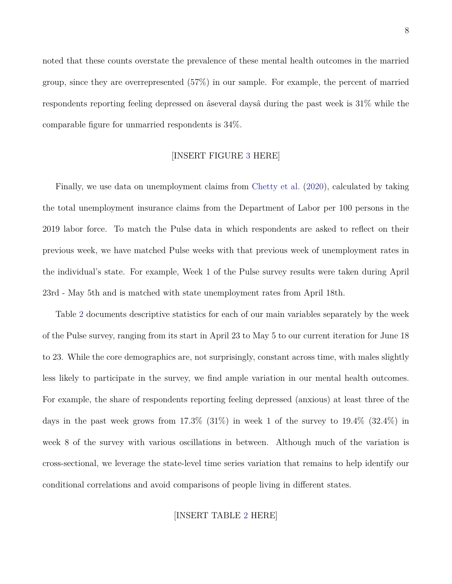noted that these counts overstate the prevalence of these mental health outcomes in the married group, since they are overrepresented (57%) in our sample. For example, the percent of married respondents reporting feeling depressed on âseveral daysâ during the past week is 31% while the comparable figure for unmarried respondents is 34%.

#### [INSERT FIGURE [3](#page-24-0) HERE]

Finally, we use data on unemployment claims from [Chetty et al.](#page-31-4) [\(2020\)](#page-31-4), calculated by taking the total unemployment insurance claims from the Department of Labor per 100 persons in the 2019 labor force. To match the Pulse data in which respondents are asked to reflect on their previous week, we have matched Pulse weeks with that previous week of unemployment rates in the individual's state. For example, Week 1 of the Pulse survey results were taken during April 23rd - May 5th and is matched with state unemployment rates from April 18th.

Table [2](#page-25-0) documents descriptive statistics for each of our main variables separately by the week of the Pulse survey, ranging from its start in April 23 to May 5 to our current iteration for June 18 to 23. While the core demographics are, not surprisingly, constant across time, with males slightly less likely to participate in the survey, we find ample variation in our mental health outcomes. For example, the share of respondents reporting feeling depressed (anxious) at least three of the days in the past week grows from  $17.3\%$  ( $31\%$ ) in week 1 of the survey to  $19.4\%$  ( $32.4\%$ ) in week 8 of the survey with various oscillations in between. Although much of the variation is cross-sectional, we leverage the state-level time series variation that remains to help identify our conditional correlations and avoid comparisons of people living in different states.

#### [INSERT TABLE [2](#page-25-0) HERE]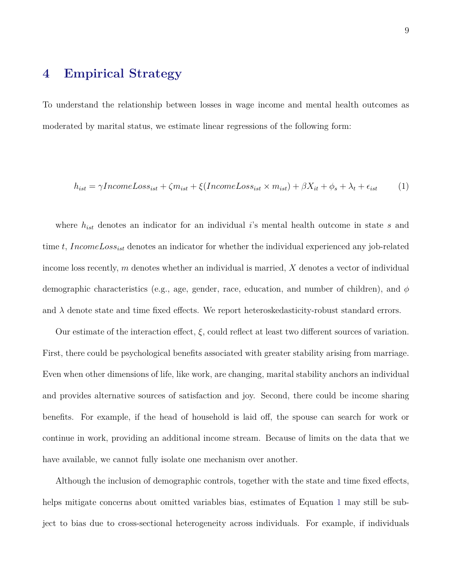### **4 Empirical Strategy**

To understand the relationship between losses in wage income and mental health outcomes as moderated by marital status, we estimate linear regressions of the following form:

<span id="page-9-0"></span>
$$
h_{ist} = \gamma IncomeLoss_{ist} + \zeta m_{ist} + \xi (IncomeLoss_{ist} \times m_{ist}) + \beta X_{it} + \phi_s + \lambda_t + \epsilon_{ist} \tag{1}
$$

where *hist* denotes an indicator for an individual *i*'s mental health outcome in state *s* and time *t*, *IncomeLossist* denotes an indicator for whether the individual experienced any job-related income loss recently, *m* denotes whether an individual is married, *X* denotes a vector of individual demographic characteristics (e.g., age, gender, race, education, and number of children), and *φ* and  $\lambda$  denote state and time fixed effects. We report heteroskedasticity-robust standard errors.

Our estimate of the interaction effect,  $\xi$ , could reflect at least two different sources of variation. First, there could be psychological benefits associated with greater stability arising from marriage. Even when other dimensions of life, like work, are changing, marital stability anchors an individual and provides alternative sources of satisfaction and joy. Second, there could be income sharing benefits. For example, if the head of household is laid off, the spouse can search for work or continue in work, providing an additional income stream. Because of limits on the data that we have available, we cannot fully isolate one mechanism over another.

Although the inclusion of demographic controls, together with the state and time fixed effects, helps mitigate concerns about omitted variables bias, estimates of Equation [1](#page-9-0) may still be subject to bias due to cross-sectional heterogeneity across individuals. For example, if individuals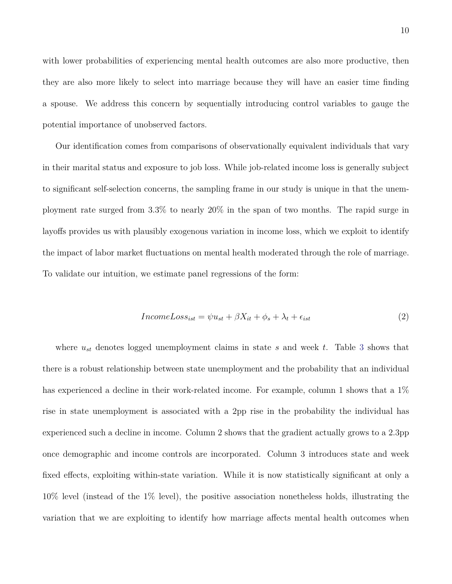with lower probabilities of experiencing mental health outcomes are also more productive, then they are also more likely to select into marriage because they will have an easier time finding a spouse. We address this concern by sequentially introducing control variables to gauge the potential importance of unobserved factors.

Our identification comes from comparisons of observationally equivalent individuals that vary in their marital status and exposure to job loss. While job-related income loss is generally subject to significant self-selection concerns, the sampling frame in our study is unique in that the unemployment rate surged from 3.3% to nearly 20% in the span of two months. The rapid surge in layoffs provides us with plausibly exogenous variation in income loss, which we exploit to identify the impact of labor market fluctuations on mental health moderated through the role of marriage. To validate our intuition, we estimate panel regressions of the form:

$$
IncomeLoss_{ist} = \psi u_{st} + \beta X_{it} + \phi_s + \lambda_t + \epsilon_{ist}
$$
\n<sup>(2)</sup>

where  $u_{st}$  denotes logged unemployment claims in state *s* and week *t*. Table [3](#page-26-0) shows that there is a robust relationship between state unemployment and the probability that an individual has experienced a decline in their work-related income. For example, column 1 shows that a  $1\%$ rise in state unemployment is associated with a 2pp rise in the probability the individual has experienced such a decline in income. Column 2 shows that the gradient actually grows to a 2.3pp once demographic and income controls are incorporated. Column 3 introduces state and week fixed effects, exploiting within-state variation. While it is now statistically significant at only a 10% level (instead of the 1% level), the positive association nonetheless holds, illustrating the variation that we are exploiting to identify how marriage affects mental health outcomes when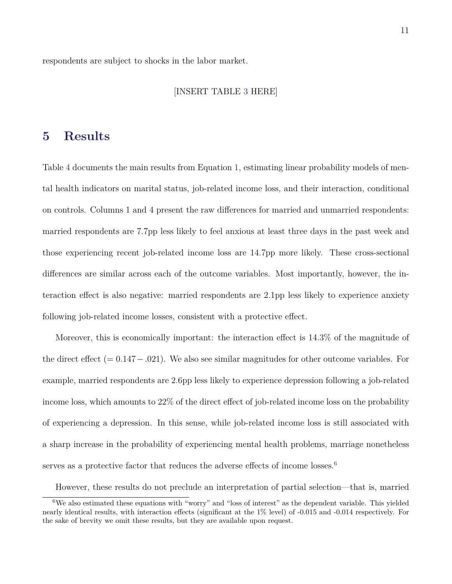respondents are subject to shocks in the labor market.

#### [INSERT TABLE [3](#page-26-0) HERE]

### **5 Results**

Table [4](#page-27-0) documents the main results from Equation [1,](#page-9-0) estimating linear probability models of mental health indicators on marital status, job-related income loss, and their interaction, conditional on controls. Columns 1 and 4 present the raw differences for married and unmarried respondents: married respondents are 7.7pp less likely to feel anxious at least three days in the past week and those experiencing recent job-related income loss are 14.7pp more likely. These cross-sectional differences are similar across each of the outcome variables. Most importantly, however, the interaction effect is also negative: married respondents are 2.1pp less likely to experience anxiety following job-related income losses, consistent with a protective effect.

Moreover, this is economically important: the interaction effect is 14.3% of the magnitude of the direct effect (= 0*.*147−*.*021). We also see similar magnitudes for other outcome variables. For example, married respondents are 2.6pp less likely to experience depression following a job-related income loss, which amounts to 22% of the direct effect of job-related income loss on the probability of experiencing a depression. In this sense, while job-related income loss is still associated with a sharp increase in the probability of experiencing mental health problems, marriage nonetheless serves as a protective factor that reduces the adverse effects of income losses.<sup>[6](#page-11-0)</sup>

<span id="page-11-0"></span>However, these results do not preclude an interpretation of partial selection—that is, married

 $6$ We also estimated these equations with "worry" and "loss of interest" as the dependent variable. This yielded nearly identical results, with interaction effects (significant at the 1% level) of -0.015 and -0.014 respectively. For the sake of brevity we omit these results, but they are available upon request.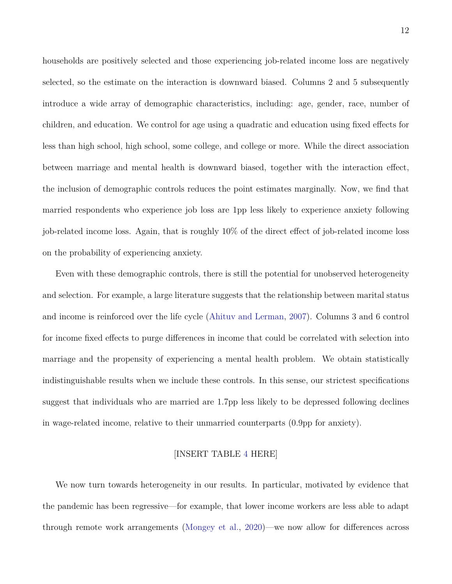households are positively selected and those experiencing job-related income loss are negatively selected, so the estimate on the interaction is downward biased. Columns 2 and 5 subsequently introduce a wide array of demographic characteristics, including: age, gender, race, number of children, and education. We control for age using a quadratic and education using fixed effects for less than high school, high school, some college, and college or more. While the direct association between marriage and mental health is downward biased, together with the interaction effect, the inclusion of demographic controls reduces the point estimates marginally. Now, we find that married respondents who experience job loss are 1pp less likely to experience anxiety following job-related income loss. Again, that is roughly 10% of the direct effect of job-related income loss on the probability of experiencing anxiety.

Even with these demographic controls, there is still the potential for unobserved heterogeneity and selection. For example, a large literature suggests that the relationship between marital status and income is reinforced over the life cycle [\(Ahituv and Lerman,](#page-30-1) [2007\)](#page-30-1). Columns 3 and 6 control for income fixed effects to purge differences in income that could be correlated with selection into marriage and the propensity of experiencing a mental health problem. We obtain statistically indistinguishable results when we include these controls. In this sense, our strictest specifications suggest that individuals who are married are 1.7pp less likely to be depressed following declines in wage-related income, relative to their unmarried counterparts (0.9pp for anxiety).

#### [INSERT TABLE [4](#page-27-0) HERE]

We now turn towards heterogeneity in our results. In particular, motivated by evidence that the pandemic has been regressive—for example, that lower income workers are less able to adapt through remote work arrangements [\(Mongey et al.,](#page-33-6) [2020\)](#page-33-6)—we now allow for differences across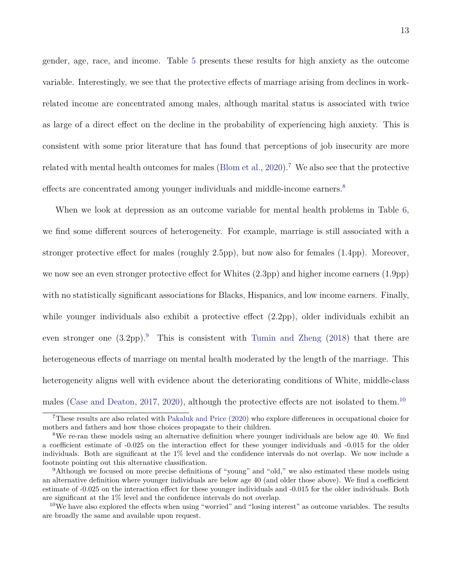gender, age, race, and income. Table [5](#page-28-0) presents these results for high anxiety as the outcome variable. Interestingly, we see that the protective effects of marriage arising from declines in workrelated income are concentrated among males, although marital status is associated with twice as large of a direct effect on the decline in the probability of experiencing high anxiety. This is consistent with some prior literature that has found that perceptions of job insecurity are more related with mental health outcomes for males [\(Blom et al.,](#page-30-6)  $2020$ ).<sup>[7](#page-13-0)</sup> We also see that the protective effects are concentrated among younger individuals and middle-income earners.<sup>[8](#page-13-1)</sup>

When we look at depression as an outcome variable for mental health problems in Table [6,](#page-29-0) we find some different sources of heterogeneity. For example, marriage is still associated with a stronger protective effect for males (roughly 2.5pp), but now also for females (1.4pp). Moreover, we now see an even stronger protective effect for Whites (2.3pp) and higher income earners (1.9pp) with no statistically significant associations for Blacks, Hispanics, and low income earners. Finally, while younger individuals also exhibit a protective effect  $(2.2pp)$ , older individuals exhibit an even stronger one  $(3.2pp)$ .<sup>[9](#page-13-2)</sup> This is consistent with [Tumin and Zheng](#page-34-5)  $(2018)$  that there are heterogeneous effects of marriage on mental health moderated by the length of the marriage. This heterogeneity aligns well with evidence about the deteriorating conditions of White, middle-class males [\(Case and Deaton,](#page-31-5) [2017,](#page-31-5) [2020\)](#page-31-6), although the protective effects are not isolated to them.<sup>[10](#page-13-3)</sup>

<span id="page-13-0"></span><sup>7</sup>These results are also related with [Pakaluk and Price](#page-34-3) [\(2020\)](#page-34-3) who explore differences in occupational choice for mothers and fathers and how those choices propagate to their children.

<span id="page-13-1"></span><sup>8</sup>We re-ran these models using an alternative definition where younger individuals are below age 40. We find a coefficient estimate of -0.025 on the interaction effect for these younger individuals and -0.015 for the older individuals. Both are significant at the 1% level and the confidence intervals do not overlap. We now include a footnote pointing out this alternative classification.

<span id="page-13-2"></span><sup>&</sup>lt;sup>9</sup>Although we focused on more precise definitions of "young" and "old," we also estimated these models using an alternative definition where younger individuals are below age 40 (and older those above). We find a coefficient estimate of -0.025 on the interaction effect for these younger individuals and -0.015 for the older individuals. Both are significant at the 1% level and the confidence intervals do not overlap.

<span id="page-13-3"></span> $10$ We have also explored the effects when using "worried" and "losing interest" as outcome variables. The results are broadly the same and available upon request.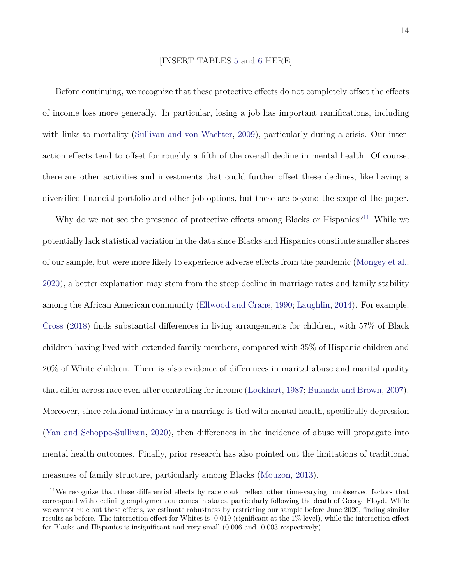#### [INSERT TABLES [5](#page-28-0) and [6](#page-29-0) HERE]

Before continuing, we recognize that these protective effects do not completely offset the effects of income loss more generally. In particular, losing a job has important ramifications, including with links to mortality [\(Sullivan and von Wachter,](#page-34-6) [2009\)](#page-34-6), particularly during a crisis. Our interaction effects tend to offset for roughly a fifth of the overall decline in mental health. Of course, there are other activities and investments that could further offset these declines, like having a diversified financial portfolio and other job options, but these are beyond the scope of the paper.

Why do we not see the presence of protective effects among Blacks or Hispanics?<sup>[11](#page-14-0)</sup> While we potentially lack statistical variation in the data since Blacks and Hispanics constitute smaller shares of our sample, but were more likely to experience adverse effects from the pandemic [\(Mongey et al.,](#page-33-6) [2020\)](#page-33-6), a better explanation may stem from the steep decline in marriage rates and family stability among the African American community [\(Ellwood and Crane,](#page-32-7) [1990;](#page-32-7) [Laughlin,](#page-33-7) [2014\)](#page-33-7). For example, [Cross](#page-31-7) [\(2018\)](#page-31-7) finds substantial differences in living arrangements for children, with 57% of Black children having lived with extended family members, compared with 35% of Hispanic children and 20% of White children. There is also evidence of differences in marital abuse and marital quality that differ across race even after controlling for income [\(Lockhart,](#page-33-8) [1987;](#page-33-8) [Bulanda and Brown,](#page-31-8) [2007\)](#page-31-8). Moreover, since relational intimacy in a marriage is tied with mental health, specifically depression [\(Yan and Schoppe-Sullivan,](#page-35-2) [2020\)](#page-35-2), then differences in the incidence of abuse will propagate into mental health outcomes. Finally, prior research has also pointed out the limitations of traditional measures of family structure, particularly among Blacks [\(Mouzon,](#page-34-7) [2013\)](#page-34-7).

<span id="page-14-0"></span><sup>&</sup>lt;sup>11</sup>We recognize that these differential effects by race could reflect other time-varying, unobserved factors that correspond with declining employment outcomes in states, particularly following the death of George Floyd. While we cannot rule out these effects, we estimate robustness by restricting our sample before June 2020, finding similar results as before. The interaction effect for Whites is -0.019 (significant at the 1% level), while the interaction effect for Blacks and Hispanics is insignificant and very small (0.006 and -0.003 respectively).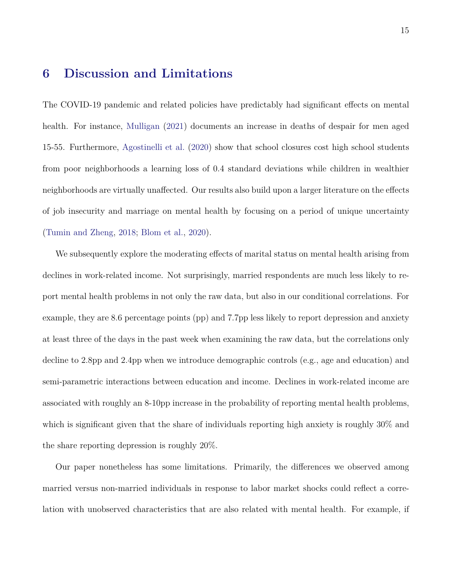### **6 Discussion and Limitations**

The COVID-19 pandemic and related policies have predictably had significant effects on mental health. For instance, [Mulligan](#page-34-8) [\(2021\)](#page-34-8) documents an increase in deaths of despair for men aged 15-55. Furthermore, [Agostinelli et al.](#page-30-7) [\(2020\)](#page-30-7) show that school closures cost high school students from poor neighborhoods a learning loss of 0.4 standard deviations while children in wealthier neighborhoods are virtually unaffected. Our results also build upon a larger literature on the effects of job insecurity and marriage on mental health by focusing on a period of unique uncertainty [\(Tumin and Zheng,](#page-34-5) [2018;](#page-34-5) [Blom et al.,](#page-30-6) [2020\)](#page-30-6).

We subsequently explore the moderating effects of marital status on mental health arising from declines in work-related income. Not surprisingly, married respondents are much less likely to report mental health problems in not only the raw data, but also in our conditional correlations. For example, they are 8.6 percentage points (pp) and 7.7pp less likely to report depression and anxiety at least three of the days in the past week when examining the raw data, but the correlations only decline to 2.8pp and 2.4pp when we introduce demographic controls (e.g., age and education) and semi-parametric interactions between education and income. Declines in work-related income are associated with roughly an 8-10pp increase in the probability of reporting mental health problems, which is significant given that the share of individuals reporting high anxiety is roughly 30% and the share reporting depression is roughly 20%.

Our paper nonetheless has some limitations. Primarily, the differences we observed among married versus non-married individuals in response to labor market shocks could reflect a correlation with unobserved characteristics that are also related with mental health. For example, if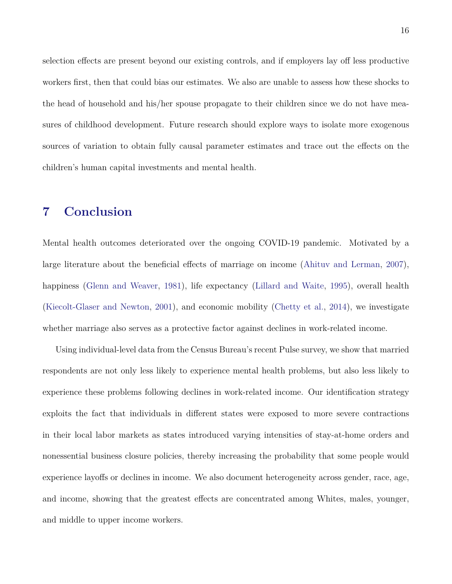selection effects are present beyond our existing controls, and if employers lay off less productive workers first, then that could bias our estimates. We also are unable to assess how these shocks to the head of household and his/her spouse propagate to their children since we do not have measures of childhood development. Future research should explore ways to isolate more exogenous sources of variation to obtain fully causal parameter estimates and trace out the effects on the children's human capital investments and mental health.

### <span id="page-16-0"></span>**7 Conclusion**

Mental health outcomes deteriorated over the ongoing COVID-19 pandemic. Motivated by a large literature about the beneficial effects of marriage on income [\(Ahituv and Lerman,](#page-30-1) [2007\)](#page-30-1), happiness [\(Glenn and Weaver,](#page-32-0) [1981\)](#page-32-0), life expectancy [\(Lillard and Waite,](#page-33-1) [1995\)](#page-33-1), overall health [\(Kiecolt-Glaser and Newton,](#page-33-2) [2001\)](#page-33-2), and economic mobility [\(Chetty et al.,](#page-31-0) [2014\)](#page-31-0), we investigate whether marriage also serves as a protective factor against declines in work-related income.

Using individual-level data from the Census Bureau's recent Pulse survey, we show that married respondents are not only less likely to experience mental health problems, but also less likely to experience these problems following declines in work-related income. Our identification strategy exploits the fact that individuals in different states were exposed to more severe contractions in their local labor markets as states introduced varying intensities of stay-at-home orders and nonessential business closure policies, thereby increasing the probability that some people would experience layoffs or declines in income. We also document heterogeneity across gender, race, age, and income, showing that the greatest effects are concentrated among Whites, males, younger, and middle to upper income workers.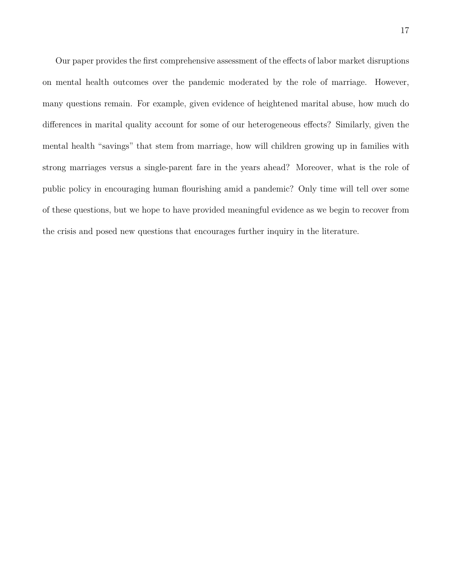Our paper provides the first comprehensive assessment of the effects of labor market disruptions on mental health outcomes over the pandemic moderated by the role of marriage. However, many questions remain. For example, given evidence of heightened marital abuse, how much do differences in marital quality account for some of our heterogeneous effects? Similarly, given the mental health "savings" that stem from marriage, how will children growing up in families with strong marriages versus a single-parent fare in the years ahead? Moreover, what is the role of public policy in encouraging human flourishing amid a pandemic? Only time will tell over some of these questions, but we hope to have provided meaningful evidence as we begin to recover from the crisis and posed new questions that encourages further inquiry in the literature.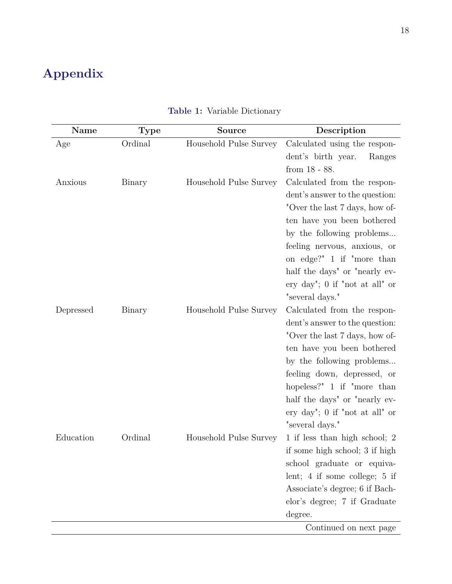# **Appendix**

| Name      | <b>Type</b> | <b>Source</b>          | Description                       |
|-----------|-------------|------------------------|-----------------------------------|
| Age       | Ordinal     | Household Pulse Survey | Calculated using the respon-      |
|           |             |                        | dent's birth year.<br>Ranges      |
|           |             |                        | from $18 - 88$ .                  |
| Anxious   | Binary      | Household Pulse Survey | Calculated from the respon-       |
|           |             |                        | dent's answer to the question:    |
|           |             |                        | "Over the last 7 days, how of-    |
|           |             |                        | ten have you been bothered        |
|           |             |                        | by the following problems         |
|           |             |                        | feeling nervous, anxious, or      |
|           |             |                        | on edge?" 1 if "more than         |
|           |             |                        | half the days" or "nearly ev-     |
|           |             |                        | ery day"; 0 if "not at all" or    |
|           |             |                        | "several days."                   |
| Depressed | Binary      | Household Pulse Survey | Calculated from the respon-       |
|           |             |                        | dent's answer to the question:    |
|           |             |                        | "Over the last 7 days, how of-    |
|           |             |                        | ten have you been bothered        |
|           |             |                        | by the following problems         |
|           |             |                        | feeling down, depressed, or       |
|           |             |                        | hopeless?" $1$ if "more than      |
|           |             |                        | half the days" or "nearly ev-     |
|           |             |                        | ery day"; $0$ if "not at all" or  |
|           |             |                        | "several days."                   |
| Education | Ordinal     | Household Pulse Survey | 1 if less than high school; 2     |
|           |             |                        | if some high school; 3 if high    |
|           |             |                        | school graduate or equiva-        |
|           |             |                        | lent; $4$ if some college; $5$ if |
|           |             |                        | Associate's degree; 6 if Bach-    |
|           |             |                        | elor's degree; 7 if Graduate      |
|           |             |                        | degree.                           |
|           |             |                        | Continued on next page            |

### **Table 1:** Variable Dictionary

page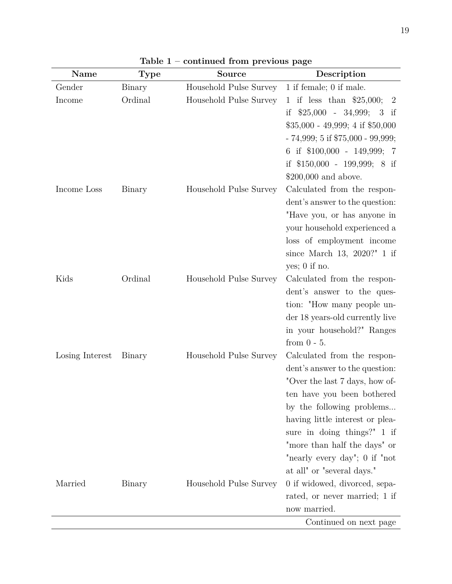| Name            | <b>Type</b> | <b>Source</b>          | Description                                 |
|-----------------|-------------|------------------------|---------------------------------------------|
| Gender          | Binary      | Household Pulse Survey | 1 if female; 0 if male.                     |
| Income          | Ordinal     | Household Pulse Survey | 1 if less than $$25,000;$<br>$\overline{2}$ |
|                 |             |                        | if $$25,000 - 34,999;$<br>3<br>if           |
|                 |             |                        | $$35,000 - 49,999; 4 \text{ if } $50,000$   |
|                 |             |                        | $-74,999; 5 \text{ if } $75,000 - 99,999;$  |
|                 |             |                        | 6 if \$100,000 - 149,999; 7                 |
|                 |             |                        | if \$150,000 - 199,999; 8 if                |
|                 |             |                        | $$200,000$ and above.                       |
| Income Loss     | Binary      | Household Pulse Survey | Calculated from the respon-                 |
|                 |             |                        | dent's answer to the question:              |
|                 |             |                        | "Have you, or has anyone in                 |
|                 |             |                        | your household experienced a                |
|                 |             |                        | loss of employment income                   |
|                 |             |                        | since March 13, 2020?" 1 if                 |
|                 |             |                        | yes; $0$ if no.                             |
| Kids            | Ordinal     | Household Pulse Survey | Calculated from the respon-                 |
|                 |             |                        | dent's answer to the ques-                  |
|                 |             |                        | tion: "How many people un-                  |
|                 |             |                        | der 18 years-old currently live             |
|                 |             |                        | in your household?" Ranges                  |
|                 |             |                        | from $0 - 5$ .                              |
| Losing Interest | Binary      | Household Pulse Survey | Calculated from the respon-                 |
|                 |             |                        | dent's answer to the question:              |
|                 |             |                        | "Over the last 7 days, how of-              |
|                 |             |                        | ten have you been bothered                  |
|                 |             |                        | by the following problems                   |
|                 |             |                        | having little interest or plea-             |
|                 |             |                        | sure in doing things?" 1 if                 |
|                 |             |                        | "more than half the days" or                |
|                 |             |                        | "nearly every day"; 0 if "not               |
|                 |             |                        | at all" or "several days."                  |
| Married         | Binary      | Household Pulse Survey | 0 if widowed, divorced, sepa-               |
|                 |             |                        | rated, or never married; 1 if               |
|                 |             |                        | now married.                                |
|                 |             |                        | Continued on next page                      |

**Table 1 – continued from previous page**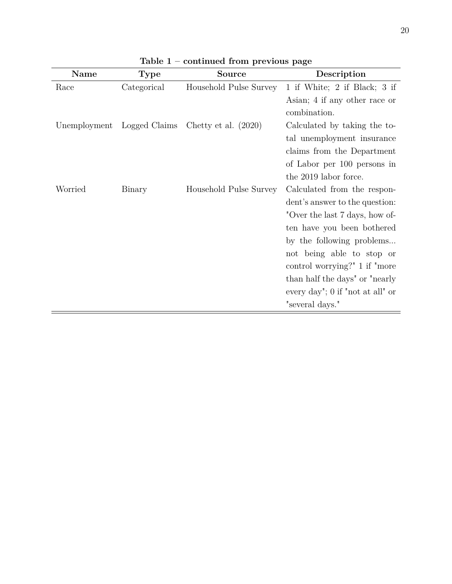| Name         | <b>Type</b>   | <b>Source</b>          | Description                        |
|--------------|---------------|------------------------|------------------------------------|
| Race         | Categorical   | Household Pulse Survey | 1 if White; 2 if Black; 3 if       |
|              |               |                        | Asian; 4 if any other race or      |
|              |               |                        | combination.                       |
| Unemployment | Logged Claims | Chetty et al. $(2020)$ | Calculated by taking the to-       |
|              |               |                        | tal unemployment insurance         |
|              |               |                        | claims from the Department         |
|              |               |                        | of Labor per 100 persons in        |
|              |               |                        | the 2019 labor force.              |
| Worried      | Binary        | Household Pulse Survey | Calculated from the respon-        |
|              |               |                        | dent's answer to the question:     |
|              |               |                        | "Over the last 7 days, how of-     |
|              |               |                        | ten have you been bothered         |
|              |               |                        | by the following problems          |
|              |               |                        | not being able to stop or          |
|              |               |                        | control worrying?" 1 if "more"     |
|              |               |                        | than half the days" or "nearly"    |
|              |               |                        | every day"; $0$ if "not at all" or |
|              |               |                        | "several days."                    |

**Table 1 – continued from previous page**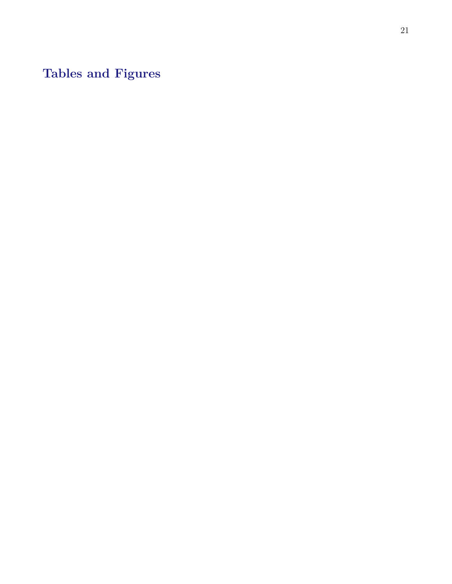**Tables and Figures**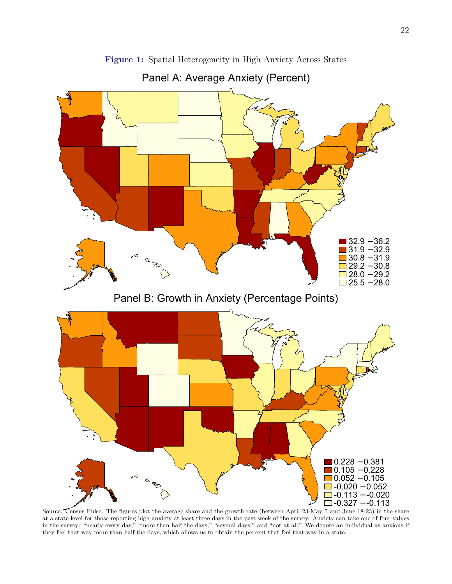<span id="page-22-0"></span>

**Figure 1:** Spatial Heterogeneity in High Anxiety Across States

Panel A: Average Anxiety (Percent)

Source: Census Pulse. The figures plot the average share and the growth rate (between April 23-May 5 and June 18-23) in the share at a state-level for those reporting high anxiety at least three days in the past week of the survey. Anxiety can take one of four values in the survey: "nearly every day," "more than half the days," "several days," and "not at all." We denote an individual as anxious if they feel that way more than half the days, which allows us to obtain the percent that feel that way in a state.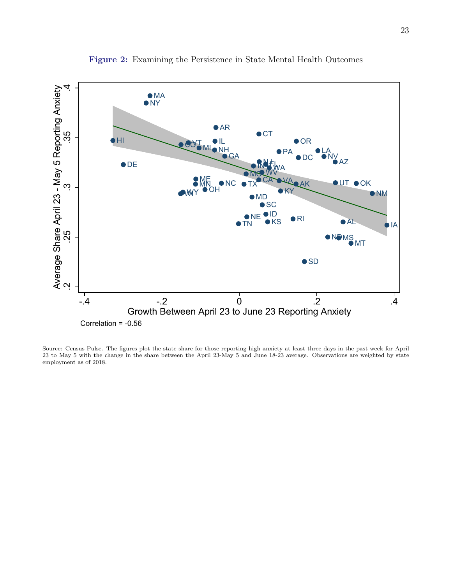<span id="page-23-0"></span>

**Figure 2:** Examining the Persistence in State Mental Health Outcomes

Source: Census Pulse. The figures plot the state share for those reporting high anxiety at least three days in the past week for April 23 to May 5 with the change in the share between the April 23-May 5 and June 18-23 average. Observations are weighted by state employment as of 2018.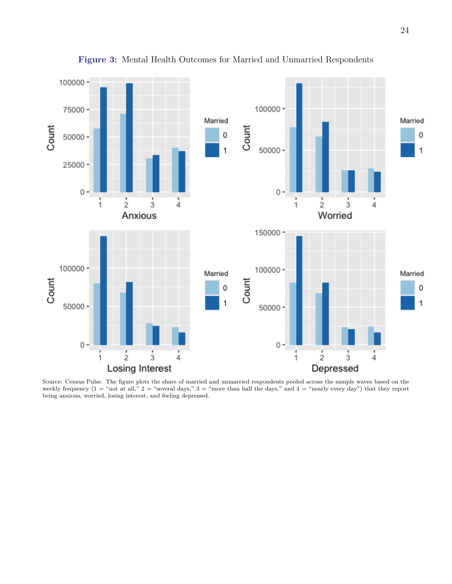<span id="page-24-0"></span>

**Figure 3:** Mental Health Outcomes for Married and Unmarried Respondents

Source: Census Pulse. The figure plots the share of married and unmarried respondents pooled across the sample waves based on the weekly frequency  $(1 = "not at all," 2 = "several days," 3 = "more than half the days," and 4 = "nearly every day") that they report$ being anxious, worried, losing interest, and feeling depressed.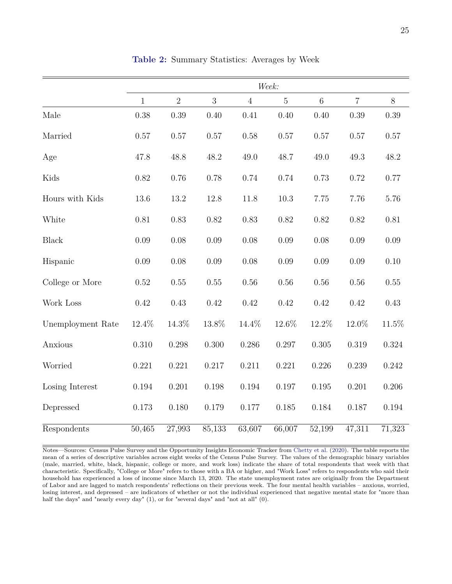<span id="page-25-0"></span>

|                   |              |                |           |                | Week:          |                 |                     |                     |
|-------------------|--------------|----------------|-----------|----------------|----------------|-----------------|---------------------|---------------------|
|                   | $\mathbf{1}$ | $\overline{2}$ | 3         | $\overline{4}$ | $\overline{5}$ | $6\phantom{.}6$ | $\overline{7}$      | $8\,$               |
| Male              | 0.38         | 0.39           | 0.40      | 0.41           | 0.40           | 0.40            | 0.39                | 0.39                |
| Married           | 0.57         | $0.57\,$       | $0.57\,$  | $0.58\,$       | 0.57           | 0.57            | 0.57                | $0.57\,$            |
| Age               | 47.8         | 48.8           | 48.2      | 49.0           | 48.7           | 49.0            | 49.3                | 48.2                |
| Kids              | 0.82         | 0.76           | 0.78      | 0.74           | 0.74           | 0.73            | 0.72                | 0.77                |
| Hours with Kids   | 13.6         | 13.2           | 12.8      | 11.8           | $10.3\,$       | 7.75            | 7.76                | 5.76                |
| White             | 0.81         | 0.83           | 0.82      | 0.83           | 0.82           | 0.82            | 0.82                | 0.81                |
| <b>Black</b>      | $0.09\,$     | 0.08           | 0.09      | 0.08           | 0.09           | 0.08            | 0.09                | 0.09                |
| Hispanic          | 0.09         | 0.08           | $0.09\,$  | 0.08           | 0.09           | 0.09            | 0.09                | 0.10                |
| College or More   | 0.52         | $0.55\,$       | $0.55\,$  | $0.56\,$       | $0.56\,$       | 0.56            | 0.56                | 0.55                |
| Work Loss         | 0.42         | 0.43           | 0.42      | 0.42           | 0.42           | 0.42            | 0.42                | 0.43                |
| Unemployment Rate | 12.4%        | 14.3%          | 13.8%     | 14.4%          | 12.6%          | 12.2%           | 12.0%               | 11.5%               |
| Anxious           | $0.310\,$    | 0.298          | $0.300\,$ | 0.286          | $0.297\,$      | $0.305\,$       | 0.319               | 0.324               |
| Worried           | 0.221        | 0.221          | 0.217     | 0.211          | 0.221          | 0.226           | 0.239               | 0.242               |
| Losing Interest   | 0.194        | 0.201          | 0.198     | 0.194          | 0.197          | 0.195           | 0.201               | 0.206               |
| Depressed         | 0.173        | 0.180          | 0.179     | 0.177          | 0.185          | 0.184           | 0.187               | 0.194               |
| Respondents       | 50,465       | 27,993         | 85,133    | 63,607         | 66,007         | 52,199          | $\overline{47,311}$ | $\overline{71,323}$ |

**Table 2:** Summary Statistics: Averages by Week

Notes—Sources: Census Pulse Survey and the Opportunity Insights Economic Tracker from [Chetty et al.](#page-31-4) [\(2020\)](#page-31-4). The table reports the mean of a series of descriptive variables across eight weeks of the Census Pulse Survey. The values of the demographic binary variables (male, married, white, black, hispanic, college or more, and work loss) indicate the share of total respondents that week with that characteristic. Specifically, "College or More" refers to those with a BA or higher, and "Work Loss" refers to respondents who said their household has experienced a loss of income since March 13, 2020. The state unemployment rates are originally from the Department of Labor and are lagged to match respondents' reflections on their previous week. The four mental health variables – anxious, worried, losing interest, and depressed – are indicators of whether or not the individual experienced that negative mental state for "more than half the days" and "nearly every day" (1), or for "several days" and "not at all" (0).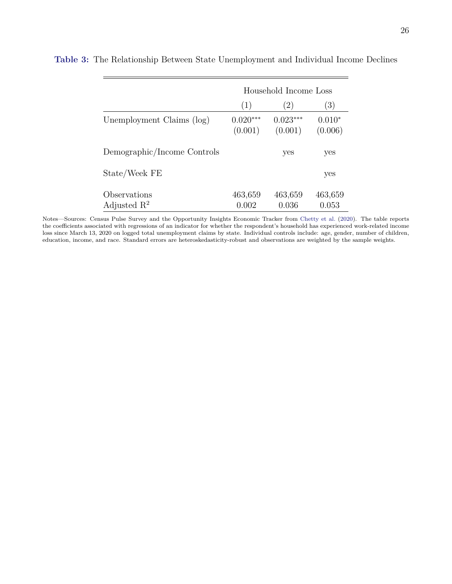|                                         |                       | Household Income Loss |                     |
|-----------------------------------------|-----------------------|-----------------------|---------------------|
|                                         | (1)                   | (2)                   | (3)                 |
| Unemployment Claims (log)               | $0.020***$<br>(0.001) | $0.023***$<br>(0.001) | $0.010*$<br>(0.006) |
| Demographic/Income Controls             |                       | yes                   | yes                 |
| State/Week FE                           |                       |                       | yes                 |
| Observations<br>Adjusted $\mathbb{R}^2$ | 463,659<br>0.002      | 463,659<br>0.036      | 463,659<br>0.053    |

<span id="page-26-0"></span>**Table 3:** The Relationship Between State Unemployment and Individual Income Declines

Notes—Sources: Census Pulse Survey and the Opportunity Insights Economic Tracker from [Chetty et al.](#page-31-4) [\(2020\)](#page-31-4). The table reports the coefficients associated with regressions of an indicator for whether the respondent's household has experienced work-related income loss since March 13, 2020 on logged total unemployment claims by state. Individual controls include: age, gender, number of children, education, income, and race. Standard errors are heteroskedasticity-robust and observations are weighted by the sample weights.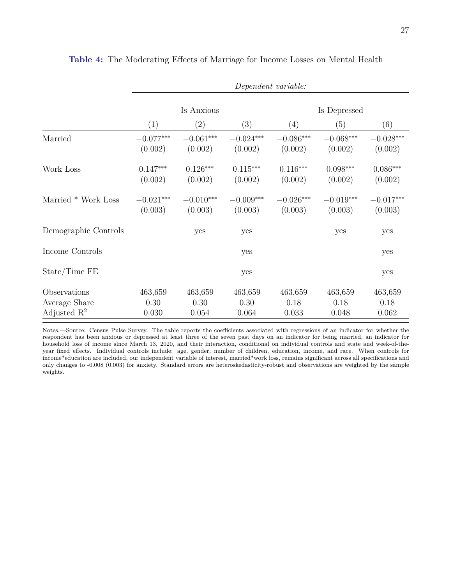|                         |                        |                        |                        | Dependent variable:    |                        |                               |
|-------------------------|------------------------|------------------------|------------------------|------------------------|------------------------|-------------------------------|
|                         |                        | Is Anxious             |                        |                        | Is Depressed           |                               |
|                         | (1)                    | $\left( 2\right)$      | (3)                    | (4)                    | (5)                    | (6)                           |
| Married                 | $-0.077***$<br>(0.002) | $-0.061***$<br>(0.002) | $-0.024***$<br>(0.002) | $-0.086***$<br>(0.002) | $-0.068***$<br>(0.002) | $-0.028\mbox{***}$<br>(0.002) |
| Work Loss               | $0.147***$<br>(0.002)  | $0.126***$<br>(0.002)  | $0.115***$<br>(0.002)  | $0.116***$<br>(0.002)  | $0.098***$<br>(0.002)  | $0.086***$<br>(0.002)         |
| Married * Work Loss     | $-0.021***$<br>(0.003) | $-0.010***$<br>(0.003) | $-0.009***$<br>(0.003) | $-0.026***$<br>(0.003) | $-0.019***$<br>(0.003) | $-0.017***$<br>(0.003)        |
| Demographic Controls    |                        | yes                    | yes                    |                        | yes                    | yes                           |
| Income Controls         |                        |                        | yes                    |                        |                        | yes                           |
| State/Time FE           |                        |                        | yes                    |                        |                        | yes                           |
| Observations            | 463,659                | 463,659                | 463,659                | 463,659                | 463,659                | 463,659                       |
| Average Share           | 0.30                   | 0.30                   | 0.30                   | 0.18                   | 0.18                   | 0.18                          |
| Adjusted $\mathbb{R}^2$ | 0.030                  | 0.054                  | 0.064                  | 0.033                  | 0.048                  | 0.062                         |

<span id="page-27-0"></span>**Table 4:** The Moderating Effects of Marriage for Income Losses on Mental Health

Notes.—Source: Census Pulse Survey. The table reports the coefficients associated with regressions of an indicator for whether the respondent has been anxious or depressed at least three of the seven past days on an indicator for being married, an indicator for household loss of income since March 13, 2020, and their interaction, conditional on individual controls and state and week-of-theyear fixed effects. Individual controls include: age, gender, number of children, education, income, and race. When controls for income\*education are included, our independent variable of interest, married\*work loss, remains significant across all specifications and only changes to -0.008 (0.003) for anxiety. Standard errors are heteroskedasticity-robust and observations are weighted by the sample weights.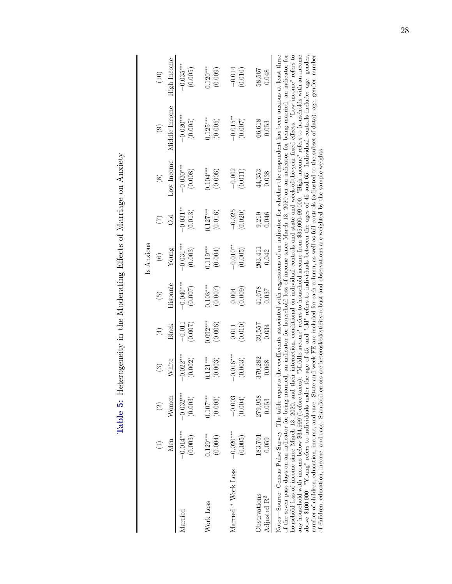| wating Hitler Nichte er Nichter der Nicht<br> <br> <br> |
|---------------------------------------------------------|
| ξ<br>[                                                  |
| )<br>i                                                  |
| aule o: Heterogeneity in the Mana-                      |
|                                                         |

<span id="page-28-0"></span>

|                                                                                                                                                                                                                                                                                                                                                                                                                |             |             |             |            |                | Is Anxious  |             |             |               |             |
|----------------------------------------------------------------------------------------------------------------------------------------------------------------------------------------------------------------------------------------------------------------------------------------------------------------------------------------------------------------------------------------------------------------|-------------|-------------|-------------|------------|----------------|-------------|-------------|-------------|---------------|-------------|
|                                                                                                                                                                                                                                                                                                                                                                                                                |             | $\odot$     | $\odot$     | $\tag{4}$  | $\binom{5}{2}$ | $\odot$     | E           | $\circledS$ | $\odot$       | (10)        |
|                                                                                                                                                                                                                                                                                                                                                                                                                | Men         | Women       | White       | Black      | Hispanic       | Young       | Эd          | Low Income  | Middle Income | High Income |
| <i>Aarried</i>                                                                                                                                                                                                                                                                                                                                                                                                 | $-0.014***$ | $-0.032***$ | $-0.022***$ | $-0.011$   | $-0.040**$     | $-0.031***$ | $-0.031***$ | $-0.030**$  | $-0.020***$   | $-0.035***$ |
|                                                                                                                                                                                                                                                                                                                                                                                                                | (0.003)     | (0.003)     | (0.002)     | (0.007)    | (0.007)        | (0.003)     | (0.013)     | (0.008)     | (0.005)       | (0.005)     |
| Vork Loss                                                                                                                                                                                                                                                                                                                                                                                                      | $0.129***$  | $0.107***$  | $0.121***$  | $0.092***$ | $0.103***$     | $0.119***$  | $0.127***$  | $0.104***$  | $0.125***$    | $0.120***$  |
|                                                                                                                                                                                                                                                                                                                                                                                                                | (0.004)     | (0.003)     | (0.003)     | (0.006)    | (0.007)        | (0.004)     | (0.016)     | (0.006)     | (0.005)       | (0.009)     |
| Married * Work Loss                                                                                                                                                                                                                                                                                                                                                                                            | $-0.020***$ | $-0.003$    | $-0.016***$ | (0.010)    | (0.009)        | $-0.010**$  | $-0.025$    | $-0.002$    | $-0.015**$    | $-0.014$    |
|                                                                                                                                                                                                                                                                                                                                                                                                                | (0.005)     | (0.004)     | (0.003)     | 0.011      | 0.004          | (0.005)     | (0.020)     | (0.011)     | (0.007)       | (0.010)     |
| <b>O</b> servations                                                                                                                                                                                                                                                                                                                                                                                            | 183,701     | 279,958     | 379,282     | 39,557     | 41,678         | 203,411     | 0.046       | 44,353      | 66,618        | 58,567      |
| Adjusted R <sup>2</sup>                                                                                                                                                                                                                                                                                                                                                                                        | 0.059       | 0.053       | 0.068       | 0.034      | 0.037          | 0.042       | 9,210       | 0.038       | 0.053         | 0.048       |
| the correct and indicated being momental and indicated in the formation of a family distribution of the contract of the form of the form of the form of the form of the form of the form of the form of the form of the form o<br>Notes—Source: Census Pulse Survey. The table reports the coefficients associated with regressions of an indicator for whether the respondent has been anxious at least three |             |             |             |            |                |             |             |             |               |             |

of the seven past days on an indicator for being married, an indicator for household loss of income since March 13, 2020 on an indicator for being married, an indicator for<br>household loss of income since March 13, 2020, an any household with income below \$34,999 (before taxes). "Middle income" refers to household income from \$35,000-99,000. "High income" refers to households with an income above \$100,000. "Young" refers to individuals under the age of 45, and "old" refers to individuals between the ages of 45 and 65. Individual controls include: age, gender, and the subset of children, education, income, and of the seven past days on an indicator for being married, an indicator for household loss of income since March 13, 2020 on an indicator for being married, an indicator for household loss of income since March 13, 2020, and their interaction, conditional on individual controls and state and week-of-the-year fixed effects. "Low income" refers to any household with income below \$34,999 (before taxes). "Middle income" refers to household income from \$35,000-99,000. "High income" refers to households with an income above \$100,000. "Young" refers to individuals under the age of 45, and "old" refers to individuals between the ages of 45 and 65. Individual controls include: age, gender, number of children, education, income, and race. State and week FE are included for each column, as well as full controls (adjusted to the subset of data): age, gender, number of children, education, income, and race. Standard errors are heteroskedasticity-robust and observations are weighted by the sample weights. of children, education, income, and race. Standard errors are heteroskedasticity-robust and observations are weighted by the sample weights.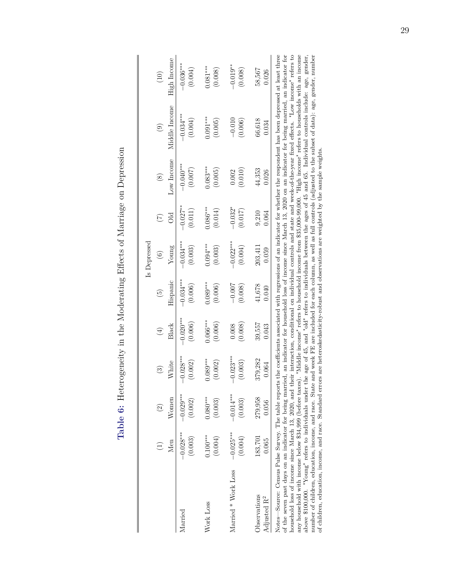| l<br>ſ<br>;                              |
|------------------------------------------|
| i<br>i<br>i<br>J                         |
| }<br> }<br> }                            |
| $\overline{\phantom{a}}$                 |
| $\sim$ $\sim$ $\sim$                     |
| )<br>י<br>ו                              |
|                                          |
| Luble of the Tree<br>nia h'<br>$T - 1.1$ |

<span id="page-29-0"></span>

|                                                                                                                                                                                                                                                                                                                                                                                                                  |             |             |             |            |                 | Is Depressed |                 |               |               |             |
|------------------------------------------------------------------------------------------------------------------------------------------------------------------------------------------------------------------------------------------------------------------------------------------------------------------------------------------------------------------------------------------------------------------|-------------|-------------|-------------|------------|-----------------|--------------|-----------------|---------------|---------------|-------------|
|                                                                                                                                                                                                                                                                                                                                                                                                                  |             | $\odot$     | $\odot$     | $(\pm)$    | $\widetilde{5}$ | $\odot$      | $\widetilde{C}$ | $\circledast$ | $\odot$       | (10)        |
|                                                                                                                                                                                                                                                                                                                                                                                                                  | Men         | Women       | White       | Black      | Hispanic        | Young        |                 | Low Income    | Middle Income | High Income |
| larried                                                                                                                                                                                                                                                                                                                                                                                                          | $-0.028***$ | $-0.029***$ | $-0.028***$ | $-0.020**$ | $-0.034***$     | $-0.034***$  | $-0.027***$     | $-0.040**$    | $-0.034***$   | $-0.036***$ |
|                                                                                                                                                                                                                                                                                                                                                                                                                  | (0.003)     | (0.002)     | (0.002)     | (0.006)    | (0.006)         | (0.003)      | (0.011)         | (0.007)       | (0.004)       | (0.004)     |
| Work Loss                                                                                                                                                                                                                                                                                                                                                                                                        | $0.100***$  | $0.080***$  | $0.089***$  | $0.066***$ | $0.089***$      | $0.094***$   | $0.086***$      | $0.083***$    | $0.091***$    | $0.081***$  |
|                                                                                                                                                                                                                                                                                                                                                                                                                  | (0.004)     | (0.003)     | (0.002)     | (0.006)    | (0.006)         | (0.003)      | (0.014)         | (0.005)       | (0.005)       | (0.008)     |
| Married * Work Loss                                                                                                                                                                                                                                                                                                                                                                                              | $-0.025***$ | $-0.014***$ | $-0.023***$ | (0.008)    | $-0.007$        | $-0.022$ **  | $-0.032*$       | (0.010)       | $-0.010$      | $-0.019**$  |
|                                                                                                                                                                                                                                                                                                                                                                                                                  | (0.004)     | (0.003)     | (0.003)     | 0.008      | (0.008)         | (0.004)      | (0.017)         | 0.002         | (0.006)       | (0.008)     |
| <b>Jbservations</b>                                                                                                                                                                                                                                                                                                                                                                                              | 183,701     | 279,958     | 379,282     | 39,557     | 41,678          | 203,411      | 9,210           | 44,353        | 66,618        | 58,567      |
| Adjusted R <sup>2</sup>                                                                                                                                                                                                                                                                                                                                                                                          | 0.065       | 0.056       | 0.064       | 0.043      | 0.040           | 0.059        | 0.064           | 0.026         | 0.034         | 0.026       |
| Notes—Source: Census Pulse Survey. The table reports the coefficients associated with regressions of an indicator for whether the respondent has been depressed at least three<br>the series are the form from the process to the form host of the contract of the compact of the contract of the contract of the contract on the form of the contract on the form of the contract on the contract on the contra |             |             |             |            |                 |              |                 |               |               |             |

of the seven past days on an indicator for being married, an indicator for household loss of income since March 13, 2020 on an indicator for being married, an indicator for being married, an indicator for heirg indicator f of the seven past days on an indicator for being married, an indicator for household loss of income since March 13, 2020 on an indicator for being married, an indicator for household loss of income since March 13, 2020, and their interaction, conditional on individual controls and state and week-of-the-year fixed effects. "Low income" refers to any household with income below \$34,999 (before taxes). "Middle income" refers to household income from \$35,000-99,000. "High income" refers to households with an income above \$100,000. "Young" refers to individuals under the age of 45, and "old" refers to individuals between the ages of 45 and 65. Individual controls include: age, gender, number of children, education, income, and race. State and week FE are included for each column, as well as full controls (adjusted to the subset of data): age, gender, number of children, education, income, and race. Standard errors are heteroskedasticity-robust and observations are weighted by the sample weights.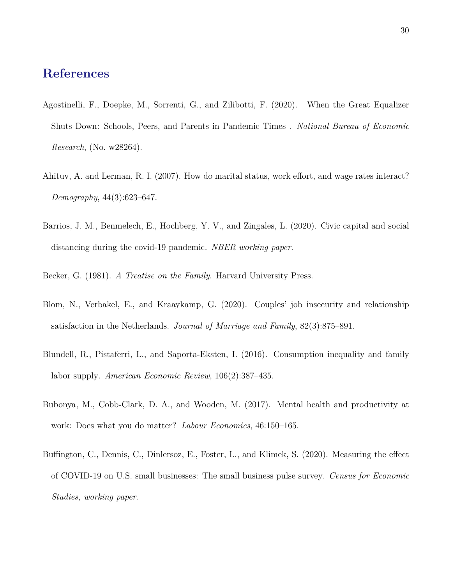### **References**

- <span id="page-30-7"></span>Agostinelli, F., Doepke, M., Sorrenti, G., and Zilibotti, F. (2020). When the Great Equalizer Shuts Down: Schools, Peers, and Parents in Pandemic Times . *National Bureau of Economic Research*, (No. w28264).
- <span id="page-30-1"></span>Ahituv, A. and Lerman, R. I. (2007). How do marital status, work effort, and wage rates interact? *Demography*, 44(3):623–647.
- <span id="page-30-2"></span>Barrios, J. M., Benmelech, E., Hochberg, Y. V., and Zingales, L. (2020). Civic capital and social distancing during the covid-19 pandemic. *NBER working paper*.
- <span id="page-30-6"></span><span id="page-30-3"></span>Becker, G. (1981). *A Treatise on the Family*. Harvard University Press.
- Blom, N., Verbakel, E., and Kraaykamp, G. (2020). Couples' job insecurity and relationship satisfaction in the Netherlands. *Journal of Marriage and Family*, 82(3):875–891.
- <span id="page-30-4"></span>Blundell, R., Pistaferri, L., and Saporta-Eksten, I. (2016). Consumption inequality and family labor supply. *American Economic Review*, 106(2):387–435.
- <span id="page-30-0"></span>Bubonya, M., Cobb-Clark, D. A., and Wooden, M. (2017). Mental health and productivity at work: Does what you do matter? *Labour Economics*, 46:150–165.
- <span id="page-30-5"></span>Buffington, C., Dennis, C., Dinlersoz, E., Foster, L., and Klimek, S. (2020). Measuring the effect of COVID-19 on U.S. small businesses: The small business pulse survey. *Census for Economic Studies, working paper*.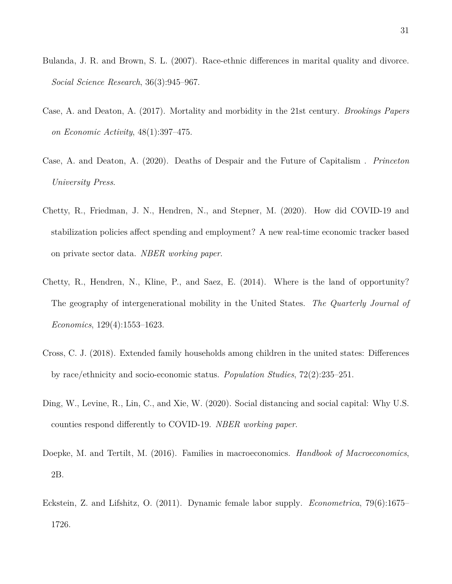- <span id="page-31-8"></span>Bulanda, J. R. and Brown, S. L. (2007). Race-ethnic differences in marital quality and divorce. *Social Science Research*, 36(3):945–967.
- <span id="page-31-5"></span>Case, A. and Deaton, A. (2017). Mortality and morbidity in the 21st century. *Brookings Papers on Economic Activity*, 48(1):397–475.
- <span id="page-31-6"></span>Case, A. and Deaton, A. (2020). Deaths of Despair and the Future of Capitalism . *Princeton University Press*.
- <span id="page-31-4"></span>Chetty, R., Friedman, J. N., Hendren, N., and Stepner, M. (2020). How did COVID-19 and stabilization policies affect spending and employment? A new real-time economic tracker based on private sector data. *NBER working paper*.
- <span id="page-31-0"></span>Chetty, R., Hendren, N., Kline, P., and Saez, E. (2014). Where is the land of opportunity? The geography of intergenerational mobility in the United States. *The Quarterly Journal of Economics*, 129(4):1553–1623.
- <span id="page-31-7"></span>Cross, C. J. (2018). Extended family households among children in the united states: Differences by race/ethnicity and socio-economic status. *Population Studies*, 72(2):235–251.
- <span id="page-31-1"></span>Ding, W., Levine, R., Lin, C., and Xie, W. (2020). Social distancing and social capital: Why U.S. counties respond differently to COVID-19. *NBER working paper*.
- <span id="page-31-3"></span>Doepke, M. and Tertilt, M. (2016). Families in macroeconomics. *Handbook of Macroeconomics*, 2B.
- <span id="page-31-2"></span>Eckstein, Z. and Lifshitz, O. (2011). Dynamic female labor supply. *Econometrica*, 79(6):1675– 1726.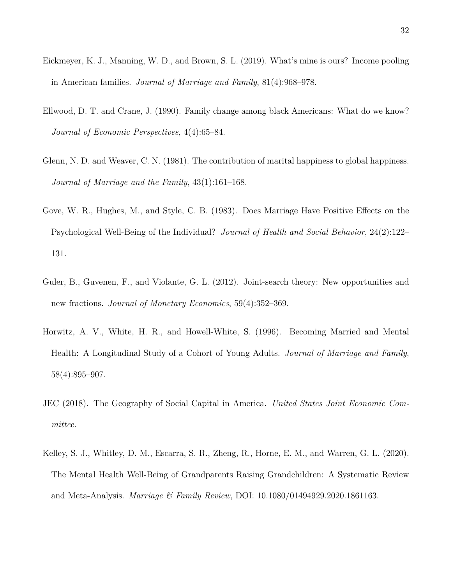- <span id="page-32-6"></span>Eickmeyer, K. J., Manning, W. D., and Brown, S. L. (2019). What's mine is ours? Income pooling in American families. *Journal of Marriage and Family*, 81(4):968–978.
- <span id="page-32-7"></span>Ellwood, D. T. and Crane, J. (1990). Family change among black Americans: What do we know? *Journal of Economic Perspectives*, 4(4):65–84.
- <span id="page-32-0"></span>Glenn, N. D. and Weaver, C. N. (1981). The contribution of marital happiness to global happiness. *Journal of Marriage and the Family*, 43(1):161–168.
- <span id="page-32-1"></span>Gove, W. R., Hughes, M., and Style, C. B. (1983). Does Marriage Have Positive Effects on the Psychological Well-Being of the Individual? *Journal of Health and Social Behavior*, 24(2):122– 131.
- <span id="page-32-5"></span>Guler, B., Guvenen, F., and Violante, G. L. (2012). Joint-search theory: New opportunities and new fractions. *Journal of Monetary Economics*, 59(4):352–369.
- <span id="page-32-2"></span>Horwitz, A. V., White, H. R., and Howell-White, S. (1996). Becoming Married and Mental Health: A Longitudinal Study of a Cohort of Young Adults. *Journal of Marriage and Family*, 58(4):895–907.
- <span id="page-32-4"></span>JEC (2018). The Geography of Social Capital in America. *United States Joint Economic Committee*.
- <span id="page-32-3"></span>Kelley, S. J., Whitley, D. M., Escarra, S. R., Zheng, R., Horne, E. M., and Warren, G. L. (2020). The Mental Health Well-Being of Grandparents Raising Grandchildren: A Systematic Review and Meta-Analysis. *Marriage & Family Review*, DOI: 10.1080/01494929.2020.1861163.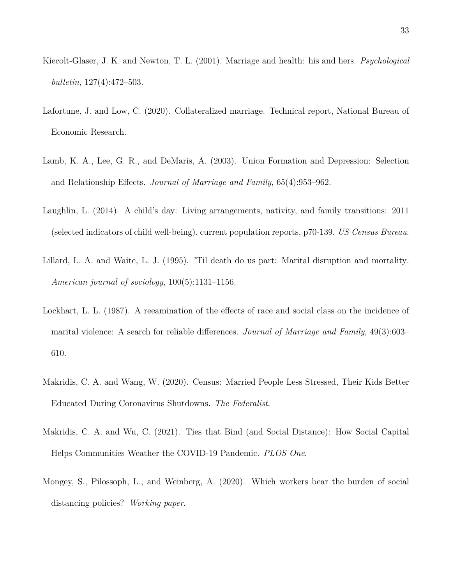- <span id="page-33-2"></span>Kiecolt-Glaser, J. K. and Newton, T. L. (2001). Marriage and health: his and hers. *Psychological bulletin*, 127(4):472–503.
- <span id="page-33-4"></span>Lafortune, J. and Low, C. (2020). Collateralized marriage. Technical report, National Bureau of Economic Research.
- <span id="page-33-3"></span>Lamb, K. A., Lee, G. R., and DeMaris, A. (2003). Union Formation and Depression: Selection and Relationship Effects. *Journal of Marriage and Family*, 65(4):953–962.
- <span id="page-33-7"></span>Laughlin, L. (2014). A child's day: Living arrangements, nativity, and family transitions: 2011 (selected indicators of child well-being). current population reports, p70-139. *US Census Bureau*.
- <span id="page-33-1"></span>Lillard, L. A. and Waite, L. J. (1995). 'Til death do us part: Marital disruption and mortality. *American journal of sociology*, 100(5):1131–1156.
- <span id="page-33-8"></span>Lockhart, L. L. (1987). A reeamination of the effects of race and social class on the incidence of marital violence: A search for reliable differences. *Journal of Marriage and Family*, 49(3):603– 610.
- <span id="page-33-0"></span>Makridis, C. A. and Wang, W. (2020). Census: Married People Less Stressed, Their Kids Better Educated During Coronavirus Shutdowns. *The Federalist*.
- <span id="page-33-5"></span>Makridis, C. A. and Wu, C. (2021). Ties that Bind (and Social Distance): How Social Capital Helps Communities Weather the COVID-19 Pandemic. *PLOS One*.
- <span id="page-33-6"></span>Mongey, S., Pilossoph, L., and Weinberg, A. (2020). Which workers bear the burden of social distancing policies? *Working paper*.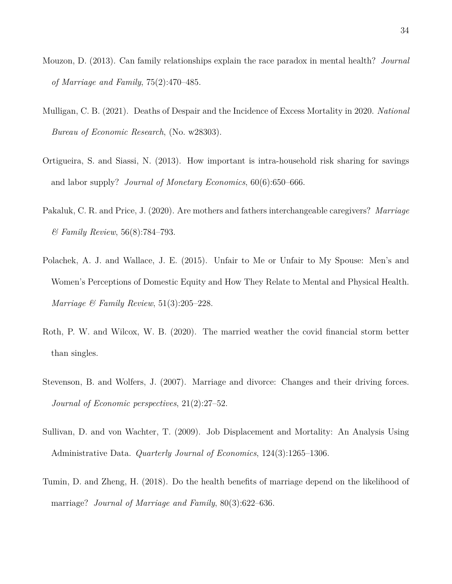- <span id="page-34-7"></span>Mouzon, D. (2013). Can family relationships explain the race paradox in mental health? *Journal of Marriage and Family*, 75(2):470–485.
- <span id="page-34-8"></span>Mulligan, C. B. (2021). Deaths of Despair and the Incidence of Excess Mortality in 2020. *National Bureau of Economic Research*, (No. w28303).
- <span id="page-34-2"></span>Ortigueira, S. and Siassi, N. (2013). How important is intra-household risk sharing for savings and labor supply? *Journal of Monetary Economics*, 60(6):650–666.
- <span id="page-34-3"></span>Pakaluk, C. R. and Price, J. (2020). Are mothers and fathers interchangeable caregivers? *Marriage & Family Review*, 56(8):784–793.
- <span id="page-34-4"></span>Polachek, A. J. and Wallace, J. E. (2015). Unfair to Me or Unfair to My Spouse: Men's and Women's Perceptions of Domestic Equity and How They Relate to Mental and Physical Health. *Marriage & Family Review*, 51(3):205–228.
- <span id="page-34-0"></span>Roth, P. W. and Wilcox, W. B. (2020). The married weather the covid financial storm better than singles.
- <span id="page-34-1"></span>Stevenson, B. and Wolfers, J. (2007). Marriage and divorce: Changes and their driving forces. *Journal of Economic perspectives*, 21(2):27–52.
- <span id="page-34-6"></span>Sullivan, D. and von Wachter, T. (2009). Job Displacement and Mortality: An Analysis Using Administrative Data. *Quarterly Journal of Economics*, 124(3):1265–1306.
- <span id="page-34-5"></span>Tumin, D. and Zheng, H. (2018). Do the health benefits of marriage depend on the likelihood of marriage? *Journal of Marriage and Family*, 80(3):622–636.